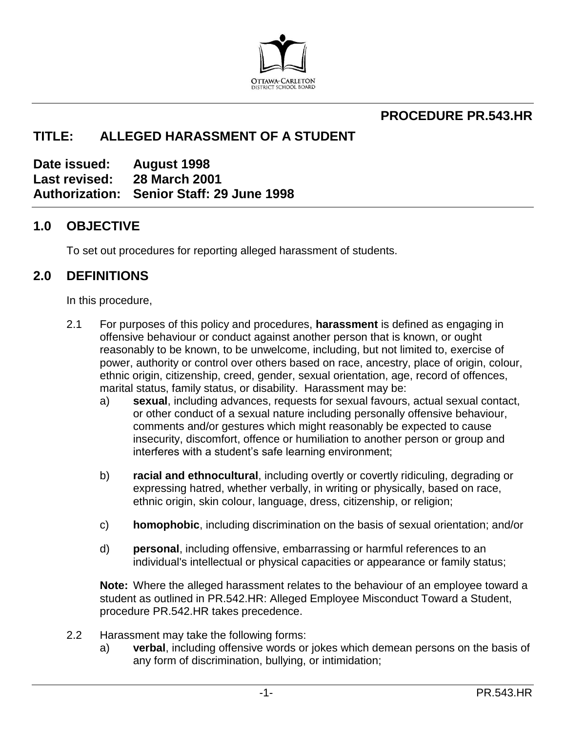

### **PROCEDURE PR.543.HR**

# **TITLE: ALLEGED HARASSMENT OF A STUDENT**

**Date issued: August 1998 Last revised: 28 March 2001 Authorization: Senior Staff: 29 June 1998**

#### **1.0 OBJECTIVE**

To set out procedures for reporting alleged harassment of students.

#### **2.0 DEFINITIONS**

In this procedure,

- 2.1 For purposes of this policy and procedures, **harassment** is defined as engaging in offensive behaviour or conduct against another person that is known, or ought reasonably to be known, to be unwelcome, including, but not limited to, exercise of power, authority or control over others based on race, ancestry, place of origin, colour, ethnic origin, citizenship, creed, gender, sexual orientation, age, record of offences, marital status, family status, or disability. Harassment may be:
	- a) **sexual**, including advances, requests for sexual favours, actual sexual contact, or other conduct of a sexual nature including personally offensive behaviour, comments and/or gestures which might reasonably be expected to cause insecurity, discomfort, offence or humiliation to another person or group and interferes with a student's safe learning environment;
	- b) **racial and ethnocultural**, including overtly or covertly ridiculing, degrading or expressing hatred, whether verbally, in writing or physically, based on race, ethnic origin, skin colour, language, dress, citizenship, or religion;
	- c) **homophobic**, including discrimination on the basis of sexual orientation; and/or
	- d) **personal**, including offensive, embarrassing or harmful references to an individual's intellectual or physical capacities or appearance or family status;

**Note:** Where the alleged harassment relates to the behaviour of an employee toward a student as outlined in PR.542.HR: Alleged Employee Misconduct Toward a Student, procedure PR.542.HR takes precedence.

- 2.2 Harassment may take the following forms:
	- a) **verbal**, including offensive words or jokes which demean persons on the basis of any form of discrimination, bullying, or intimidation;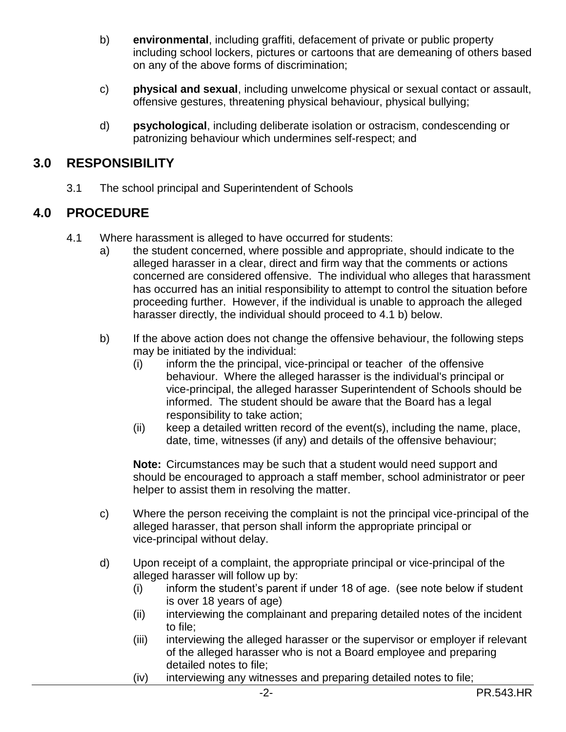- b) **environmental**, including graffiti, defacement of private or public property including school lockers, pictures or cartoons that are demeaning of others based on any of the above forms of discrimination;
- c) **physical and sexual**, including unwelcome physical or sexual contact or assault, offensive gestures, threatening physical behaviour, physical bullying;
- d) **psychological**, including deliberate isolation or ostracism, condescending or patronizing behaviour which undermines self-respect; and

## **3.0 RESPONSIBILITY**

3.1 The school principal and Superintendent of Schools

## **4.0 PROCEDURE**

- 4.1 Where harassment is alleged to have occurred for students:
	- a) the student concerned, where possible and appropriate, should indicate to the alleged harasser in a clear, direct and firm way that the comments or actions concerned are considered offensive. The individual who alleges that harassment has occurred has an initial responsibility to attempt to control the situation before proceeding further. However, if the individual is unable to approach the alleged harasser directly, the individual should proceed to 4.1 b) below.
	- b) If the above action does not change the offensive behaviour, the following steps may be initiated by the individual:
		- (i) inform the the principal, vice-principal or teacher of the offensive behaviour. Where the alleged harasser is the individual's principal or vice-principal, the alleged harasser Superintendent of Schools should be informed. The student should be aware that the Board has a legal responsibility to take action;
		- (ii) keep a detailed written record of the event(s), including the name, place, date, time, witnesses (if any) and details of the offensive behaviour;

**Note:** Circumstances may be such that a student would need support and should be encouraged to approach a staff member, school administrator or peer helper to assist them in resolving the matter.

- c) Where the person receiving the complaint is not the principal vice-principal of the alleged harasser, that person shall inform the appropriate principal or vice-principal without delay.
- d) Upon receipt of a complaint, the appropriate principal or vice-principal of the alleged harasser will follow up by:
	- (i) inform the student's parent if under 18 of age. (see note below if student is over 18 years of age)
	- (ii) interviewing the complainant and preparing detailed notes of the incident to file;
	- (iii) interviewing the alleged harasser or the supervisor or employer if relevant of the alleged harasser who is not a Board employee and preparing detailed notes to file;
	- (iv) interviewing any witnesses and preparing detailed notes to file;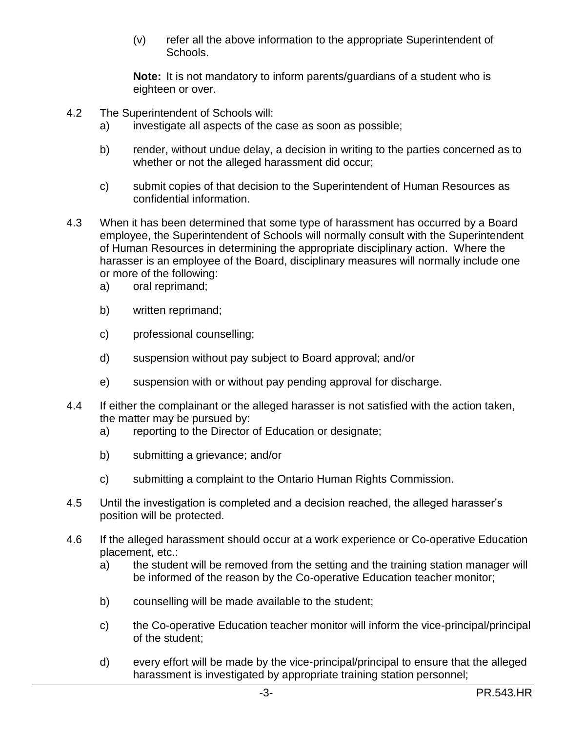(v) refer all the above information to the appropriate Superintendent of Schools.

**Note:** It is not mandatory to inform parents/guardians of a student who is eighteen or over.

- 4.2 The Superintendent of Schools will:
	- a) investigate all aspects of the case as soon as possible;
	- b) render, without undue delay, a decision in writing to the parties concerned as to whether or not the alleged harassment did occur;
	- c) submit copies of that decision to the Superintendent of Human Resources as confidential information.
- 4.3 When it has been determined that some type of harassment has occurred by a Board employee, the Superintendent of Schools will normally consult with the Superintendent of Human Resources in determining the appropriate disciplinary action. Where the harasser is an employee of the Board, disciplinary measures will normally include one or more of the following:
	- a) oral reprimand;
	- b) written reprimand;
	- c) professional counselling;
	- d) suspension without pay subject to Board approval; and/or
	- e) suspension with or without pay pending approval for discharge.
- 4.4 If either the complainant or the alleged harasser is not satisfied with the action taken, the matter may be pursued by:
	- a) reporting to the Director of Education or designate;
	- b) submitting a grievance; and/or
	- c) submitting a complaint to the Ontario Human Rights Commission.
- 4.5 Until the investigation is completed and a decision reached, the alleged harasser's position will be protected.
- 4.6 If the alleged harassment should occur at a work experience or Co-operative Education placement, etc.:
	- a) the student will be removed from the setting and the training station manager will be informed of the reason by the Co-operative Education teacher monitor;
	- b) counselling will be made available to the student;
	- c) the Co-operative Education teacher monitor will inform the vice-principal/principal of the student;
	- d) every effort will be made by the vice-principal/principal to ensure that the alleged harassment is investigated by appropriate training station personnel;